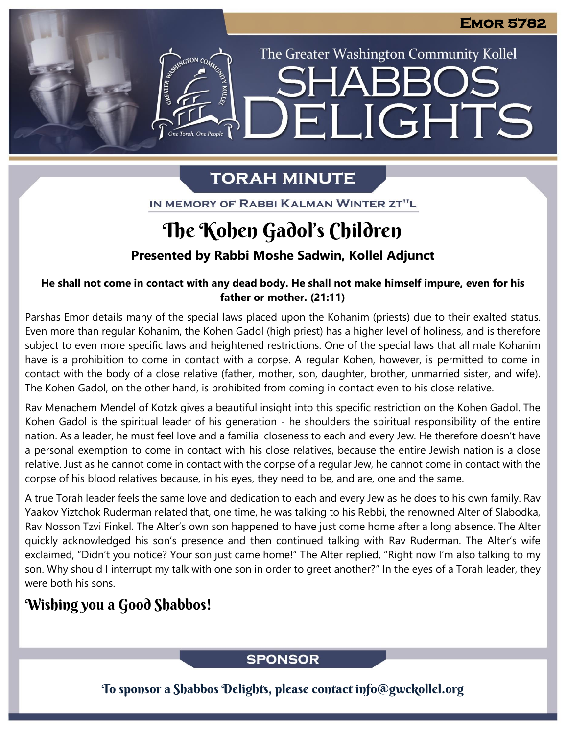# The Greater Washington Community Kollel ELIGHTS

## **TORAH MINUTE**

IN MEMORY OF RABBI KALMAN WINTER ZT"L

# The Kohen Gadol's Children

**Presented by Rabbi Moshe Sadwin, Kollel Adjunct**

#### **He shall not come in contact with any dead body. He shall not make himself impure, even for his father or mother. (21:11)**

Parshas Emor details many of the special laws placed upon the Kohanim (priests) due to their exalted status. Even more than regular Kohanim, the Kohen Gadol (high priest) has a higher level of holiness, and is therefore subject to even more specific laws and heightened restrictions. One of the special laws that all male Kohanim have is a prohibition to come in contact with a corpse. A regular Kohen, however, is permitted to come in contact with the body of a close relative (father, mother, son, daughter, brother, unmarried sister, and wife). The Kohen Gadol, on the other hand, is prohibited from coming in contact even to his close relative.

Rav Menachem Mendel of Kotzk gives a beautiful insight into this specific restriction on the Kohen Gadol. The Kohen Gadol is the spiritual leader of his generation - he shoulders the spiritual responsibility of the entire nation. As a leader, he must feel love and a familial closeness to each and every Jew. He therefore doesn't have a personal exemption to come in contact with his close relatives, because the entire Jewish nation is a close relative. Just as he cannot come in contact with the corpse of a regular Jew, he cannot come in contact with the corpse of his blood relatives because, in his eyes, they need to be, and are, one and the same.

A true Torah leader feels the same love and dedication to each and every Jew as he does to his own family. Rav Yaakov Yiztchok Ruderman related that, one time, he was talking to his Rebbi, the renowned Alter of Slabodka, Rav Nosson Tzvi Finkel. The Alter's own son happened to have just come home after a long absence. The Alter quickly acknowledged his son's presence and then continued talking with Rav Ruderman. The Alter's wife exclaimed, "Didn't you notice? Your son just came home!" The Alter replied, "Right now I'm also talking to my son. Why should I interrupt my talk with one son in order to greet another?" In the eyes of a Torah leader, they were both his sons.

## Wishing you a Good Shabbos!

## **SPONSOR**

To sponsor a Shabbos Delights, please contact info@gwckollel.org